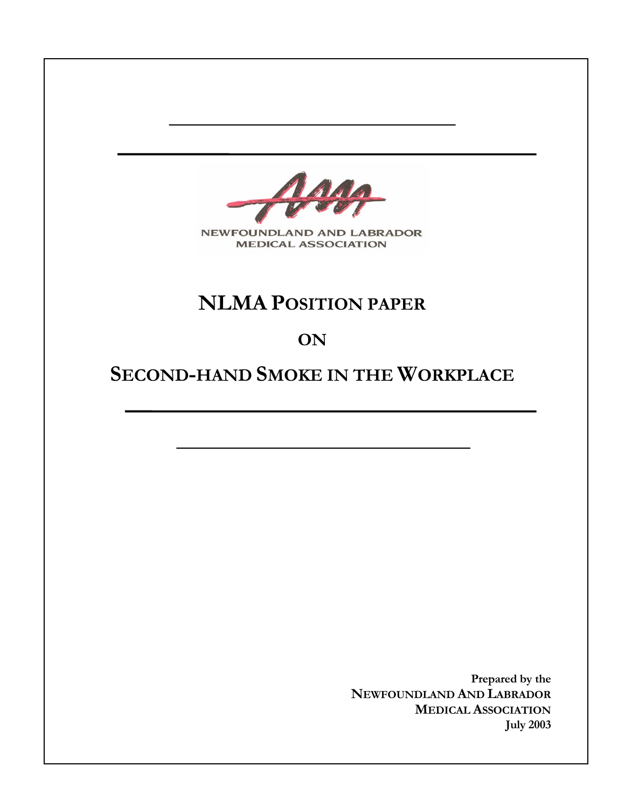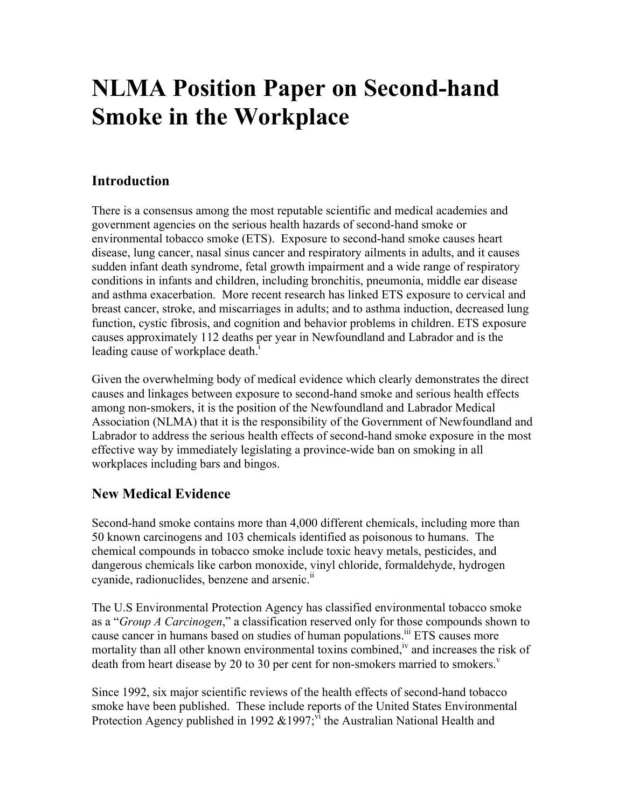# **NLMA Position Paper on Second-hand Smoke in the Workplace**

# **Introduction**

There is a consensus among the most reputable scientific and medical academies and government agencies on the serious health hazards of second-hand smoke or environmental tobacco smoke (ETS). Exposure to second-hand smoke causes heart disease, lung cancer, nasal sinus cancer and respiratory ailments in adults, and it causes sudden infant death syndrome, fetal growth impairment and a wide range of respiratory conditions in infants and children, including bronchitis, pneumonia, middle ear disease and asthma exacerbation. More recent research has linked ETS exposure to cervical and breast cancer, stroke, and miscarriages in adults; and to asthma induction, decreased lung function, cystic fibrosis, and cognition and behavior problems in children. ETS exposure causes approximately 112 deaths per year in Newfoundland and Labrador and is the leading cause of workplace death.<sup>1</sup>

Given the overwhelming body of medical evidence which clearly demonstrates the direct causes and linkages between exposure to second-hand smoke and serious health effects among non-smokers, it is the position of the Newfoundland and Labrador Medical Association (NLMA) that it is the responsibility of the Government of Newfoundland and Labrador to address the serious health effects of second-hand smoke exposure in the most effective way by immediately legislating a province-wide ban on smoking in all workplaces including bars and bingos.

## **New Medical Evidence**

Second-hand smoke contains more than 4,000 different chemicals, including more than 50 known carcinogens and 103 chemicals identified as poisonous to humans. The chemical compounds in tobacco smoke include toxic heavy metals, pesticides, and dangerous chemicals like carbon monoxide, vinyl chloride, formaldehyde, hydrogen cyanide, radionuclides, benzene and arsenic.<sup>[ii](#page-10-1)</sup>

The U.S Environmental Protection Agency has classified environmental tobacco smoke as a "*Group A Carcinogen*," a classification reserved only for those compounds shown to cause cancer in humans based on studies of human populations.<sup>iii</sup> ETS causes more mortality than all other known environmental toxins combined,<sup>iv</sup> and increases the risk of deathfrom heart disease by 20 to 30 per cent for non-smokers married to smokers.<sup>v</sup>

Since 1992, six major scientific reviews of the health effects of second-hand tobacco smoke have been published. These include reports of the United States Environmental Protection Agency published in 1992  $&1997$ ;<sup> $\overline{v}$ </sup> the Australian National Health and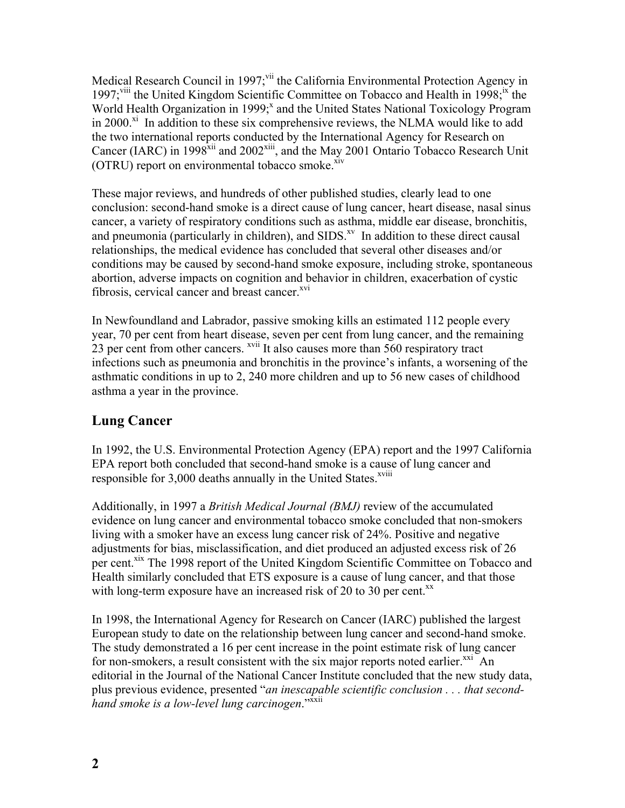Medical Research Council in 1997;<sup>vii</sup> the California Environmental Protection Agency in 1997;<sup>viii</sup> the United Kingdom Scientific Committee on Tobacco and Health in 1998;<sup>ix</sup> the World Health Organization in 1999;<sup>x</sup> and the United States National Toxicology Program in  $2000$ <sup>x<sub>1</sub></sup>. In addition to these six comprehensive reviews, the NLMA would like to add the two international reports conducted by the International Agency for Research on Cancer (IARC) in 1998<sup>xii</sup> and 2002<sup>xiii</sup>, and the May 2001 Ontario Tobacco Research Unit  $(OTRU)$  report on environmental tobacco smoke. $x$ iv

These major reviews, and hundreds of other published studies, clearly lead to one conclusion: second-hand smoke is a direct cause of lung cancer, heart disease, nasal sinus cancer, a variety of respiratory conditions such as asthma, middle ear disease, bronchitis, and pneumonia (particularly in children), and  $\text{SIDS}^{\text{xy}}$  In addition to these direct causal relationships, the medical evidence has concluded that several other diseases and/or conditions may be caused by second-hand smoke exposure, including stroke, spontaneous abortion, adverse impacts on cognition and behavior in children, exacerbation of cystic fibrosis, cervical cancer and breast cancer.<sup>xvi</sup>

In Newfoundland and Labrador, passive smoking kills an estimated 112 people every year, 70 per cent from heart disease, seven per cent from lung cancer, and the remaining 23 per cent from other cancers. <sup>xvii</sup> It also causes more than 560 respiratory tract infections such as pneumonia and bronchitis in the province's infants, a worsening of the asthmatic conditions in up to 2, 240 more children and up to 56 new cases of childhood asthma a year in the province.

## **Lung Cancer**

In 1992, the U.S. Environmental Protection Agency (EPA) report and the 1997 California EPA report both concluded that second-hand smoke is a cause of lung cancer and responsible for  $3,000$  deaths annually in the United States.<sup> $x$ viii</sup>

Additionally, in 1997 a *British Medical Journal (BMJ)* review of the accumulated evidence on lung cancer and environmental tobacco smoke concluded that non-smokers living with a smoker have an excess lung cancer risk of 24%. Positive and negative adjustments for bias, misclassification, and diet produced an adjusted excess risk of 26 per cent.<sup>xix</sup> The 1998 report of the United Kingdom Scientific Committee on Tobacco and Health similarly concluded that ETS exposure is a cause of lung cancer, and that those with long-term exposure have an increased risk of 20 to 30 per cent. $^{xx}$  $^{xx}$  $^{xx}$ 

In 1998, the International Agency for Research on Cancer (IARC) published the largest European study to date on the relationship between lung cancer and second-hand smoke. The study demonstrated a 16 per cent increase in the point estimate risk of lung cancer for non-smokers, a result consistent with the six major reports noted earlier. $^{XX1}$  An editorial in the Journal of the National Cancer Institute concluded that the new study data, plus previous evidence, presented "*an inescapable scientific conclusion . . . that secondhand smoke is a low-level lung carcinogen*."[xxii](#page-10-21)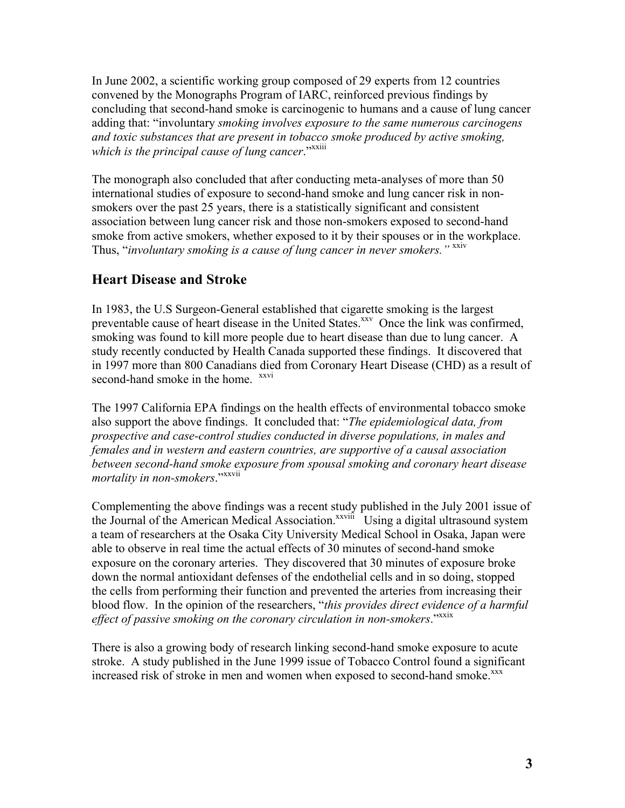In June 2002, a scientific working group composed of 29 experts from 12 countries convened by the Monographs Program of IARC, reinforced previous findings by concluding that second-hand smoke is carcinogenic to humans and a cause of lung cancer adding that: "involuntary *smoking involves exposure to the same numerous carcinogens and toxic substances that are present in tobacco smoke produced by active smoking,*  which is the principal cause of lung cancer.["xxiii](#page-10-22)

The monograph also concluded that after conducting meta-analyses of more than 50 international studies of exposure to second-hand smoke and lung cancer risk in nonsmokers over the past 25 years, there is a statistically significant and consistent association between lung cancer risk and those non-smokers exposed to second-hand smoke from active smokers, whether exposed to it by their spouses or in the workplace. Thus, "*involuntary smoking is a cause of lung cancer in never smokers.*"<sup>[xxiv](#page-10-23)</sup>

# **Heart Disease and Stroke**

In 1983, the U.S Surgeon-General established that cigarette smoking is the largest preventable cause of heart disease in the United States.<sup>xxv</sup> Once the link was confirmed, smoking was found to kill more people due to heart disease than due to lung cancer. A study recently conducted by Health Canada supported these findings. It discovered that in 1997 more than 800 Canadians died from Coronary Heart Disease (CHD) as a result of second-hand smoke in the home. <sup>xxvi</sup>

The 1997 California EPA findings on the health effects of environmental tobacco smoke also support the above findings. It concluded that: "*The epidemiological data, from prospective and case-control studies conducted in diverse populations, in males and females and in western and eastern countries, are supportive of a causal association between second-hand smoke exposure from spousal smoking and coronary heart disease*  mortality in non-smokers."<sup>[xxvii](#page-10-26)</sup>

Complementing the above findings was a recent study published in the July 2001 issue of the Journal of the American Medical Association.<sup>xxviii</sup> Using a digital ultrasound system a team of researchers at the Osaka City University Medical School in Osaka, Japan were able to observe in real time the actual effects of 30 minutes of second-hand smoke exposure on the coronary arteries. They discovered that 30 minutes of exposure broke down the normal antioxidant defenses of the endothelial cells and in so doing, stopped the cells from performing their function and prevented the arteries from increasing their blood flow. In the opinion of the researchers, "*this provides direct evidence of a harmful*  effect of passive smoking on the coronary circulation in non-smokers."<sup>xxix</sup>

There is also a growing body of research linking second-hand smoke exposure to acute stroke. A study published in the June 1999 issue of Tobacco Control found a significant increased risk of stroke in men and women when exposed to second-hand smoke.<sup>[xxx](#page-10-29)</sup>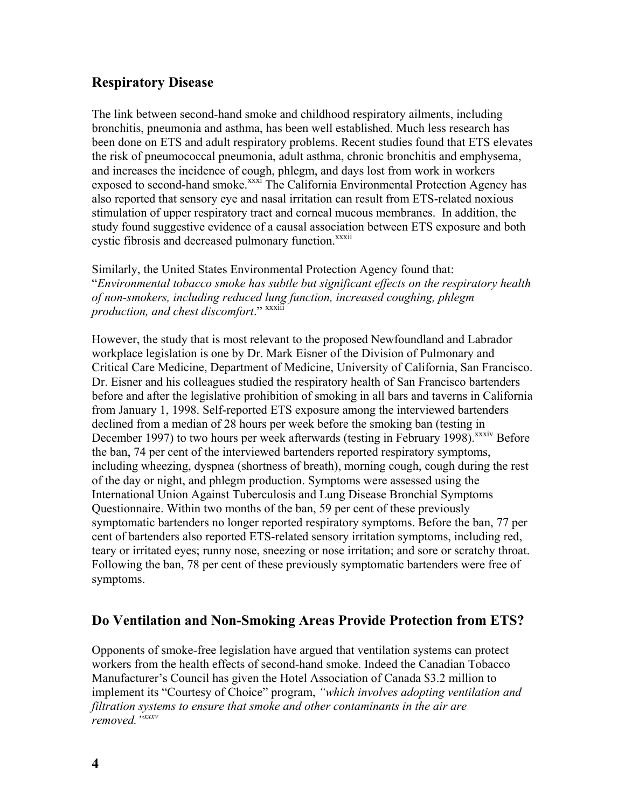#### **Respiratory Disease**

The link between second-hand smoke and childhood respiratory ailments, including bronchitis, pneumonia and asthma, has been well established. Much less research has been done on ETS and adult respiratory problems. Recent studies found that ETS elevates the risk of pneumococcal pneumonia, adult asthma, chronic bronchitis and emphysema, and increases the incidence of cough, phlegm, and days lost from work in workers exposed to second-hand smoke.<sup>xxxi</sup> The California Environmental Protection Agency has also reported that sensory eye and nasal irritation can result from ETS-related noxious stimulation of upper respiratory tract and corneal mucous membranes. In addition, the study found suggestive evidence of a causal association between ETS exposure and both cystic fibrosis and decreased pulmonary function.<sup>xxxii</sup>

Similarly, the United States Environmental Protection Agency found that: "*Environmental tobacco smoke has subtle but significant effects on the respiratory health of non-smokers, including reduced lung function, increased coughing, phlegm production, and chest discomfort*." [xxxiii](#page-10-32)

However, the study that is most relevant to the proposed Newfoundland and Labrador workplace legislation is one by Dr. Mark Eisner of the Division of Pulmonary and Critical Care Medicine, Department of Medicine, University of California, San Francisco. Dr. Eisner and his colleagues studied the respiratory health of San Francisco bartenders before and after the legislative prohibition of smoking in all bars and taverns in California from January 1, 1998. Self-reported ETS exposure among the interviewed bartenders declined from a median of 28 hours per week before the smoking ban (testing in December 1997) to two hours per week afterwards (testing in February 1998).<sup>xxxiv</sup> Before the ban, 74 per cent of the interviewed bartenders reported respiratory symptoms, including wheezing, dyspnea (shortness of breath), morning cough, cough during the rest of the day or night, and phlegm production. Symptoms were assessed using the International Union Against Tuberculosis and Lung Disease Bronchial Symptoms Questionnaire. Within two months of the ban, 59 per cent of these previously symptomatic bartenders no longer reported respiratory symptoms. Before the ban, 77 per cent of bartenders also reported ETS-related sensory irritation symptoms, including red, teary or irritated eyes; runny nose, sneezing or nose irritation; and sore or scratchy throat. Following the ban, 78 per cent of these previously symptomatic bartenders were free of symptoms.

#### **Do Ventilation and Non-Smoking Areas Provide Protection from ETS?**

Opponents of smoke-free legislation have argued that ventilation systems can protect workers from the health effects of second-hand smoke. Indeed the Canadian Tobacco Manufacturer's Council has given the Hotel Association of Canada \$3.2 million to implement its "Courtesy of Choice" program, *"which involves adopting ventilation and filtration systems to ensure that smoke and other contaminants in the air are removed.["xxxv](#page-10-34)*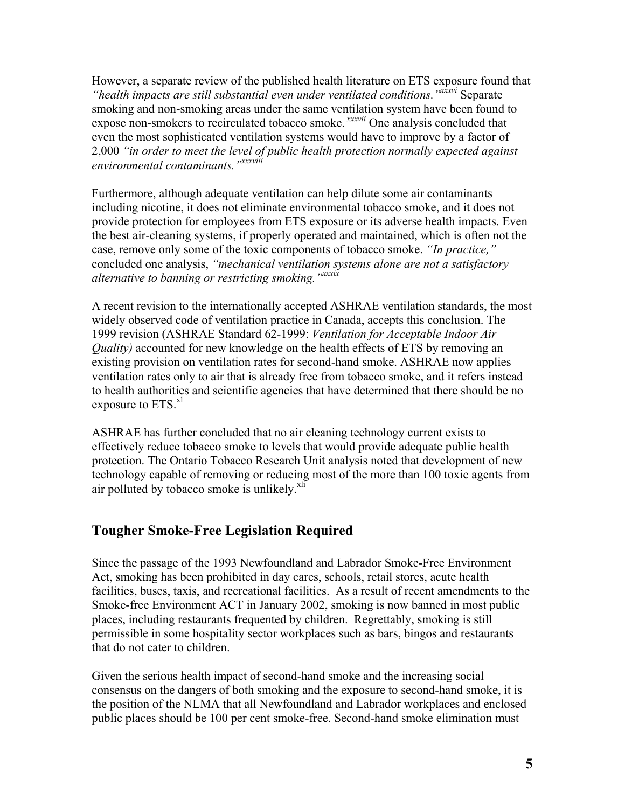However, a separate review of the published health literature on ETS exposure found that *"health impacts are still substantial even under ventilated conditions."[xxxvi](#page-10-35)* Separate smoking and non-smoking areas under the same ventilation system have been found to expose non-smokers to recirculated tobacco smoke. *[xxxvii](#page-10-36)* One analysis concluded that even the most sophisticated ventilation systems would have to improve by a factor of 2,000 *"in order to meet the level of public health protection normally expected against environmental contaminants."[xxxviii](#page-10-37)* 

Furthermore, although adequate ventilation can help dilute some air contaminants including nicotine, it does not eliminate environmental tobacco smoke, and it does not provide protection for employees from ETS exposure or its adverse health impacts. Even the best air-cleaning systems, if properly operated and maintained, which is often not the case, remove only some of the toxic components of tobacco smoke. *"In practice,"*  concluded one analysis, *"mechanical ventilation systems alone are not a satisfactory alternative to banning or restricting smoking.["xxxix](#page-10-38)*

A recent revision to the internationally accepted ASHRAE ventilation standards, the most widely observed code of ventilation practice in Canada, accepts this conclusion. The 1999 revision (ASHRAE Standard 62-1999: *Ventilation for Acceptable Indoor Air Quality)* accounted for new knowledge on the health effects of ETS by removing an existing provision on ventilation rates for second-hand smoke. ASHRAE now applies ventilation rates only to air that is already free from tobacco smoke, and it refers instead to health authorities and scientific agencies that have determined that there should be no exposure to  $ETS<sub>x1</sub>$ 

ASHRAE has further concluded that no air cleaning technology current exists to effectively reduce tobacco smoke to levels that would provide adequate public health protection. The Ontario Tobacco Research Unit analysis noted that development of new technology capable of removing or reducing most of the more than 100 toxic agents from air polluted by tobacco smoke is unlikely.<sup>xli</sup>

#### **Tougher Smoke-Free Legislation Required**

Since the passage of the 1993 Newfoundland and Labrador Smoke-Free Environment Act, smoking has been prohibited in day cares, schools, retail stores, acute health facilities, buses, taxis, and recreational facilities. As a result of recent amendments to the Smoke-free Environment ACT in January 2002, smoking is now banned in most public places, including restaurants frequented by children. Regrettably, smoking is still permissible in some hospitality sector workplaces such as bars, bingos and restaurants that do not cater to children.

Given the serious health impact of second-hand smoke and the increasing social consensus on the dangers of both smoking and the exposure to second-hand smoke, it is the position of the NLMA that all Newfoundland and Labrador workplaces and enclosed public places should be 100 per cent smoke-free. Second-hand smoke elimination must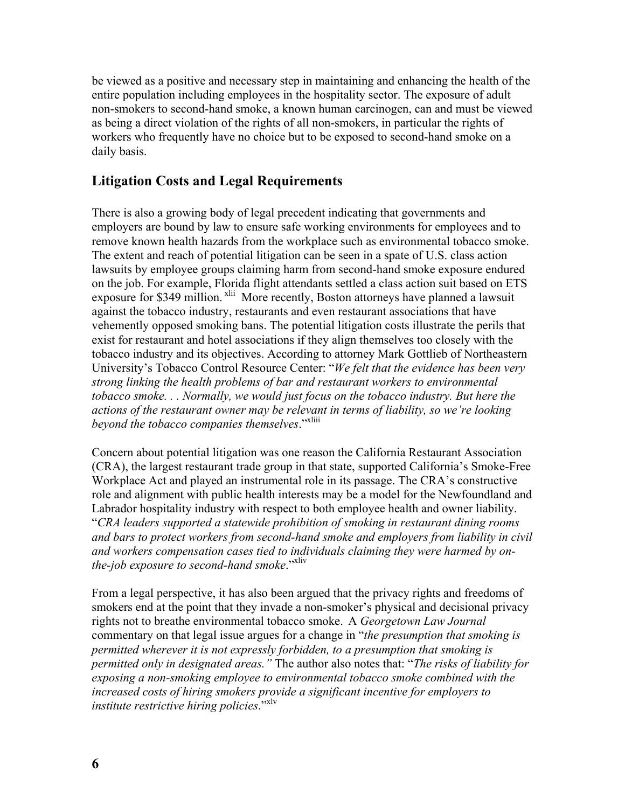be viewed as a positive and necessary step in maintaining and enhancing the health of the entire population including employees in the hospitality sector. The exposure of adult non-smokers to second-hand smoke, a known human carcinogen, can and must be viewed as being a direct violation of the rights of all non-smokers, in particular the rights of workers who frequently have no choice but to be exposed to second-hand smoke on a daily basis.

#### **Litigation Costs and Legal Requirements**

There is also a growing body of legal precedent indicating that governments and employers are bound by law to ensure safe working environments for employees and to remove known health hazards from the workplace such as environmental tobacco smoke. The extent and reach of potential litigation can be seen in a spate of U.S. class action lawsuits by employee groups claiming harm from second-hand smoke exposure endured on the job. For example, Florida flight attendants settled a class action suit based on ETS exposure for \$349 million.<sup>xlii</sup> More recently, Boston attorneys have planned a lawsuit against the tobacco industry, restaurants and even restaurant associations that have vehemently opposed smoking bans. The potential litigation costs illustrate the perils that exist for restaurant and hotel associations if they align themselves too closely with the tobacco industry and its objectives. According to attorney Mark Gottlieb of Northeastern University's Tobacco Control Resource Center: "*We felt that the evidence has been very strong linking the health problems of bar and restaurant workers to environmental tobacco smoke. . . Normally, we would just focus on the tobacco industry. But here the actions of the restaurant owner may be relevant in terms of liability, so we're looking beyond the tobacco companies themselves*."[xliii](#page-10-42)

Concern about potential litigation was one reason the California Restaurant Association (CRA), the largest restaurant trade group in that state, supported California's Smoke-Free Workplace Act and played an instrumental role in its passage. The CRA's constructive role and alignment with public health interests may be a model for the Newfoundland and Labrador hospitality industry with respect to both employee health and owner liability. "*CRA leaders supported a statewide prohibition of smoking in restaurant dining rooms and bars to protect workers from second-hand smoke and employers from liability in civil and workers compensation cases tied to individuals claiming they were harmed by onthe-job exposure to second-hand smoke*.["xliv](#page-10-23)

From a legal perspective, it has also been argued that the privacy rights and freedoms of smokers end at the point that they invade a non-smoker's physical and decisional privacy rights not to breathe environmental tobacco smoke. A *Georgetown Law Journal*  commentary on that legal issue argues for a change in "*the presumption that smoking is permitted wherever it is not expressly forbidden, to a presumption that smoking is permitted only in designated areas."* The author also notes that: "*The risks of liability for exposing a non-smoking employee to environmental tobacco smoke combined with the increased costs of hiring smokers provide a significant incentive for employers to institute restrictive hiring policies*."[xlv](#page-10-43)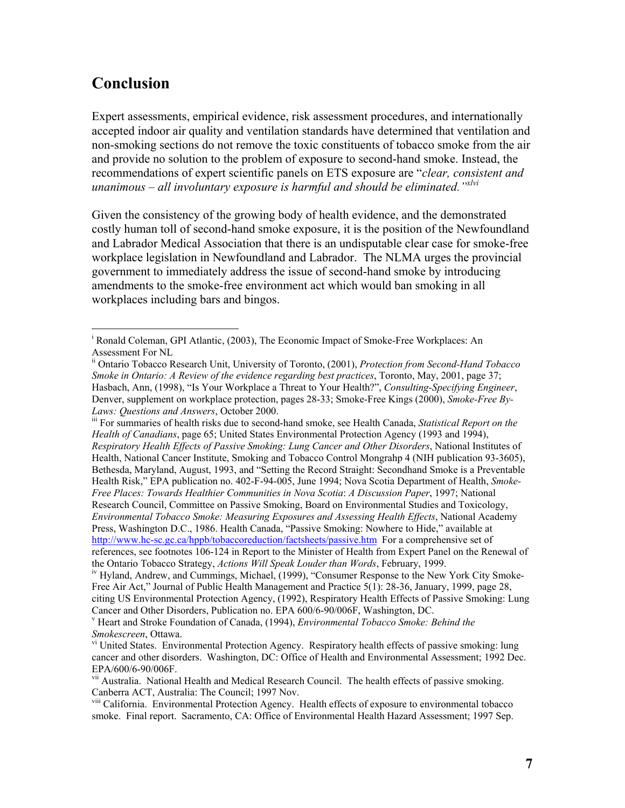# **Conclusion**

 $\overline{a}$ 

Expert assessments, empirical evidence, risk assessment procedures, and internationally accepted indoor air quality and ventilation standards have determined that ventilation and non-smoking sections do not remove the toxic constituents of tobacco smoke from the air and provide no solution to the problem of exposure to second-hand smoke. Instead, the recommendations of expert scientific panels on ETS exposure are "*clear, consistent and unanimous – all involuntary exposure is harmful and should be eliminated."[xlvi](#page-10-44)* 

Given the consistency of the growing body of health evidence, and the demonstrated costly human toll of second-hand smoke exposure, it is the position of the Newfoundland and Labrador Medical Association that there is an undisputable clear case for smoke-free workplace legislation in Newfoundland and Labrador. The NLMA urges the provincial government to immediately address the issue of second-hand smoke by introducing amendments to the smoke-free environment act which would ban smoking in all workplaces including bars and bingos.

*Health of Canadians*, page 65; United States Environmental Protection Agency (1993 and 1994), *Respiratory Health Effects of Passive Smoking: Lung Cancer and Other Disorders*, National Institutes of Health, National Cancer Institute, Smoking and Tobacco Control Mongrahp 4 (NIH publication 93-3605), Bethesda, Maryland, August, 1993, and "Setting the Record Straight: Secondhand Smoke is a Preventable Health Risk," EPA publication no. 402-F-94-005, June 1994; Nova Scotia Department of Health, *Smoke-Free Places: Towards Healthier Communities in Nova Scotia*: *A Discussion Paper*, 1997; National Research Council, Committee on Passive Smoking, Board on Environmental Studies and Toxicology, *Environmental Tobacco Smoke: Measuring Exposures and Assessing Health Effects*, National Academy Press, Washington D.C., 1986. Health Canada, "Passive Smoking: Nowhere to Hide," available at <http://www.hc-sc.gc.ca/hppb/tobaccoreduction/factsheets/passive.htm> For a comprehensive set of references, see footnotes 106-124 in Report to the Minister of Health from Expert Panel on the Renewal of the Ontario Tobacco Strategy, *Actions Will Speak Louder than Words*, February, 1999.

<sup>&</sup>lt;sup>i</sup> Ronald Coleman, GPI Atlantic, (2003), The Economic Impact of Smoke-Free Workplaces: An Assessment For NL

ii Ontario Tobacco Research Unit, University of Toronto, (2001), *Protection from Second-Hand Tobacco Smoke in Ontario: A Review of the evidence regarding best practices*, Toronto, May, 2001, page 37; Hasbach, Ann, (1998), "Is Your Workplace a Threat to Your Health?", *Consulting-Specifying Engineer*, Denver, supplement on workplace protection, pages 28-33; Smoke-Free Kings (2000), *Smoke-Free By-Laws: Questions and Answers*, October 2000.<br>iii For summaries of health risks due to second-hand smoke, see Health Canada, *Statistical Report on the* 

<sup>&</sup>lt;sup>iv</sup> Hyland, Andrew, and Cummings, Michael, (1999), "Consumer Response to the New York City Smoke-Free Air Act," Journal of Public Health Management and Practice 5(1): 28-36, January, 1999, page 28, citing US Environmental Protection Agency, (1992), Respiratory Health Effects of Passive Smoking: Lung Cancer and Other Disorders, Publication no. EPA 600/6-90/006F, Washington, DC.

v Heart and Stroke Foundation of Canada, (1994), *Environmental Tobacco Smoke: Behind the Smokescreen*, Ottawa.

vi United States. Environmental Protection Agency. Respiratory health effects of passive smoking: lung cancer and other disorders. Washington, DC: Office of Health and Environmental Assessment; 1992 Dec. EPA/600/6-90/006F.

<sup>&</sup>lt;sup>vii</sup> Australia. National Health and Medical Research Council. The health effects of passive smoking. Canberra ACT, Australia: The Council; 1997 Nov.

viii California. Environmental Protection Agency. Health effects of exposure to environmental tobacco smoke. Final report. Sacramento, CA: Office of Environmental Health Hazard Assessment; 1997 Sep.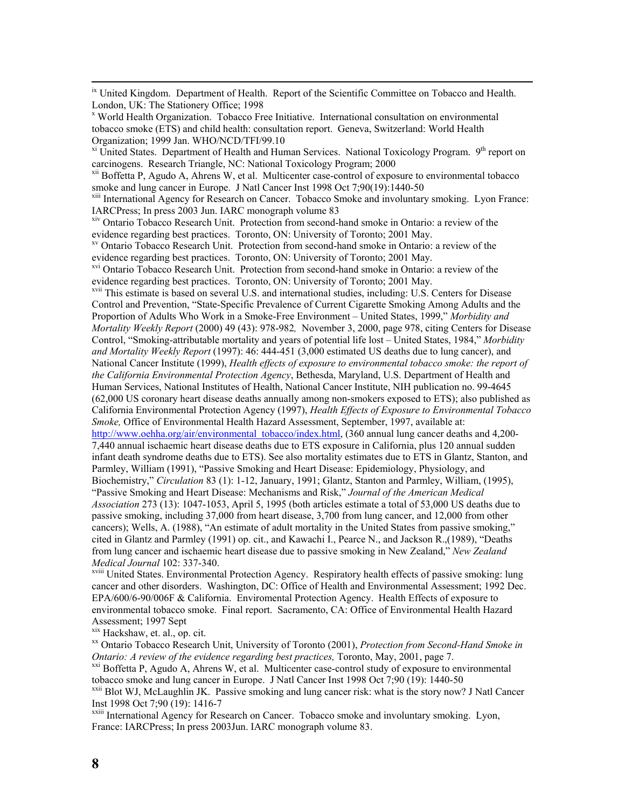<sup>ix</sup> United Kingdom. Department of Health. Report of the Scientific Committee on Tobacco and Health. London, UK: The Stationery Office; 1998

x World Health Organization. Tobacco Free Initiative. International consultation on environmental tobacco smoke (ETS) and child health: consultation report. Geneva, Switzerland: World Health Organization; 1999 Jan. WHO/NCD/TFI/99.10

<sup>xi</sup> United States. Department of Health and Human Services. National Toxicology Program. 9<sup>th</sup> report on carcinogens. Research Triangle, NC: National Toxicology Program; 2000

xii Boffetta P, Agudo A, Ahrens W, et al. Multicenter case-control of exposure to environmental tobacco smoke and lung cancer in Europe. J Natl Cancer Inst 1998 Oct 7;90(19):1440-50

xiii International Agency for Research on Cancer. Tobacco Smoke and involuntary smoking. Lyon France: IARCPress; In press 2003 Jun. IARC monograph volume 83

xiv Ontario Tobacco Research Unit. Protection from second-hand smoke in Ontario: a review of the evidence regarding best practices. Toronto, ON: University of Toronto; 2001 May.

xv Ontario Tobacco Research Unit. Protection from second-hand smoke in Ontario: a review of the evidence regarding best practices. Toronto, ON: University of Toronto; 2001 May.

xvi Ontario Tobacco Research Unit. Protection from second-hand smoke in Ontario: a review of the evidence regarding best practices. Toronto, ON: University of Toronto; 2001 May.

xvii This estimate is based on several U.S. and international studies, including: U.S. Centers for Disease Control and Prevention, "State-Specific Prevalence of Current Cigarette Smoking Among Adults and the Proportion of Adults Who Work in a Smoke-Free Environment – United States, 1999," *Morbidity and Mortality Weekly Report* (2000) 49 (43): 978-982*,* November 3, 2000, page 978, citing Centers for Disease Control, "Smoking-attributable mortality and years of potential life lost – United States, 1984," *Morbidity and Mortality Weekly Report* (1997): 46: 444-451 (3,000 estimated US deaths due to lung cancer), and National Cancer Institute (1999), *Health effects of exposure to environmental tobacco smoke: the report of the California Environmental Protection Agency*, Bethesda, Maryland, U.S. Department of Health and Human Services, National Institutes of Health, National Cancer Institute, NIH publication no. 99-4645 (62,000 US coronary heart disease deaths annually among non-smokers exposed to ETS); also published as California Environmental Protection Agency (1997), *Health Effects of Exposure to Environmental Tobacco Smoke,* Office of Environmental Health Hazard Assessment, September, 1997, available at:

[http://www.oehha.org/air/environmental\\_tobacco/index.html](http://www.oehha.org/air/environmental_tobacco/index.html), (360 annual lung cancer deaths and 4,200-7,440 annual ischaemic heart disease deaths due to ETS exposure in California, plus 120 annual sudden infant death syndrome deaths due to ETS). See also mortality estimates due to ETS in Glantz, Stanton, and Parmley, William (1991), "Passive Smoking and Heart Disease: Epidemiology, Physiology, and Biochemistry," *Circulation* 83 (1): 1-12, January, 1991; Glantz, Stanton and Parmley, William, (1995), "Passive Smoking and Heart Disease: Mechanisms and Risk," *Journal of the American Medical Association* 273 (13): 1047-1053, April 5, 1995 (both articles estimate a total of 53,000 US deaths due to passive smoking, including 37,000 from heart disease, 3,700 from lung cancer, and 12,000 from other cancers); Wells, A. (1988), "An estimate of adult mortality in the United States from passive smoking," cited in Glantz and Parmley (1991) op. cit., and Kawachi I., Pearce N., and Jackson R.,(1989), "Deaths from lung cancer and ischaemic heart disease due to passive smoking in New Zealand," *New Zealand Medical Journal* 102: 337-340.

xviii United States. Environmental Protection Agency. Respiratory health effects of passive smoking: lung cancer and other disorders. Washington, DC: Office of Health and Environmental Assessment; 1992 Dec. EPA/600/6-90/006F & California. Enviromental Protection Agency. Health Effects of exposure to environmental tobacco smoke. Final report. Sacramento, CA: Office of Environmental Health Hazard Assessment; 1997 Sept<br>
<sup>xix</sup> Hackshaw, et. al., op. cit.

<sup>xx</sup> Ontario Tobacco Research Unit, University of Toronto (2001), *Protection from Second-Hand Smoke in Ontario: A review of the evidence regarding best practices, Toronto, May, 2001, page 7. xxi Boffetta P, Agudo A, Ahrens W, et al. Multicenter case-control study of exposure to environmental* 

tobacco smoke and lung cancer in Europe. J Natl Cancer Inst 1998 Oct 7;90 (19): 1440-50 xxii Blot WJ, McLaughlin JK. Passive smoking and lung cancer risk: what is the story now? J Natl Cancer Inst 1998 Oct 7;90 (19): 1416-7

xxiii International Agency for Research on Cancer. Tobacco smoke and involuntary smoking. Lyon, France: IARCPress; In press 2003Jun. IARC monograph volume 83.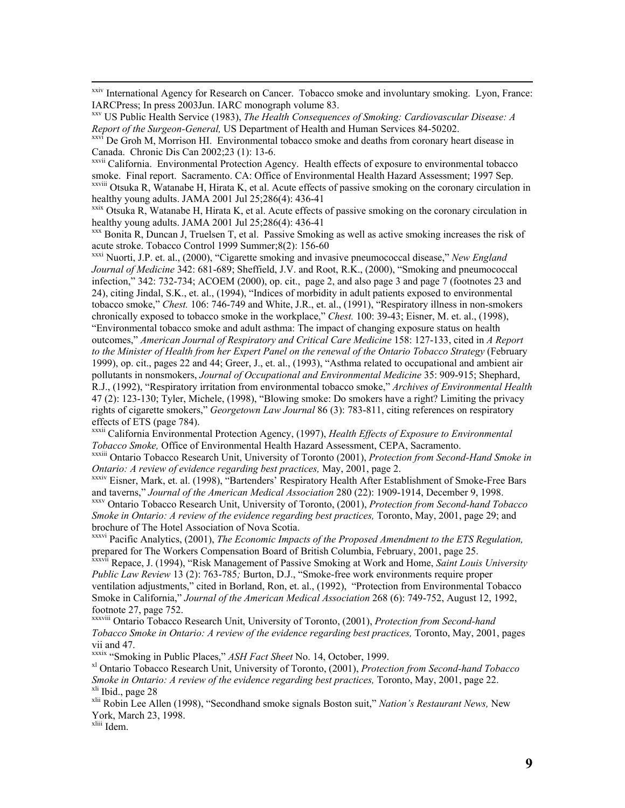xxiv International Agency for Research on Cancer. Tobacco smoke and involuntary smoking. Lyon, France: IARCPress; In press 2003Jun. IARC monograph volume 83.

xxvii California. Environmental Protection Agency. Health effects of exposure to environmental tobacco smoke. Final report. Sacramento. CA: Office of Environmental Health Hazard Assessment; 1997 Sep.

xxviii Otsuka R, Watanabe H, Hirata K, et al. Acute effects of passive smoking on the coronary circulation in healthy young adults. JAMA 2001 Jul 25;286(4): 436-41

xxix Otsuka R, Watanabe H, Hirata K, et al. Acute effects of passive smoking on the coronary circulation in healthy young adults. JAMA 2001 Jul 25;286(4): 436-41

xxx Bonita R, Duncan J, Truelsen T, et al. Passive Smoking as well as active smoking increases the risk of acute stroke. Tobacco Control 1999 Summer;8(2): 156-60

xxxi Nuorti, J.P. et. al., (2000), "Cigarette smoking and invasive pneumococcal disease," *New England Journal of Medicine* 342: 681-689; Sheffield, J.V. and Root, R.K., (2000), "Smoking and pneumococcal infection," 342: 732-734; ACOEM (2000), op. cit., page 2, and also page 3 and page 7 (footnotes 23 and 24), citing Jindal, S.K., et. al., (1994), "Indices of morbidity in adult patients exposed to environmental tobacco smoke," *Chest.* 106: 746-749 and White, J.R., et. al., (1991), "Respiratory illness in non-smokers chronically exposed to tobacco smoke in the workplace," *Chest.* 100: 39-43; Eisner, M. et. al., (1998), "Environmental tobacco smoke and adult asthma: The impact of changing exposure status on health outcomes," *American Journal of Respiratory and Critical Care Medicine* 158: 127-133, cited in *A Report to the Minister of Health from her Expert Panel on the renewal of the Ontario Tobacco Strategy* (February 1999), op. cit., pages 22 and 44; Greer, J., et. al., (1993), "Asthma related to occupational and ambient air pollutants in nonsmokers, *Journal of Occupational and Environmental Medicine* 35: 909-915; Shephard, R.J., (1992), "Respiratory irritation from environmental tobacco smoke," *Archives of Environmental Health*  47 (2): 123-130; Tyler, Michele, (1998), "Blowing smoke: Do smokers have a right? Limiting the privacy rights of cigarette smokers," *Georgetown Law Journal* 86 (3): 783-811, citing references on respiratory effects of ETS (page 784).

xxxii California Environmental Protection Agency, (1997), *Health Effects of Exposure to Environmental Tobacco Smoke,* Office of Environmental Health Hazard Assessment, CEPA, Sacramento. xxxiii Ontario Tobacco Research Unit, University of Toronto (2001), *Protection from Second-Hand Smoke in* 

*Ontario: A review of evidence regarding best practices,* May, 2001, page 2.

xxxiv Eisner, Mark, et. al. (1998), "Bartenders' Respiratory Health After Establishment of Smoke-Free Bars and taverns," Journal of the American Medical Association 280 (22): 1909-1914, December 9, 1998.

and taverns," *Journal of the American Medical Association* 280 (22): 1909-1914, December 9, 1998. xxxv Ontario Tobacco Research Unit, University of Toronto, (2001), *Protection from Second-hand Tobacco Smoke in Ontario: A review of the evidence regarding best practices,* Toronto, May, 2001, page 29; and brochure of The Hotel Association of Nova Scotia.

xxxvi Pacific Analytics, (2001), *The Economic Impacts of the Proposed Amendment to the ETS Regulation,*  prepared for The Workers Compensation Board of British Columbia, February, 2001, page 25.

xxxvii Repace, J. (1994), "Risk Management of Passive Smoking at Work and Home, *Saint Louis University Public Law Review* 13 (2): 763-785*;* Burton, D.J., "Smoke-free work environments require proper ventilation adjustments," cited in Borland, Ron, et. al., (1992), "Protection from Environmental Tobacco Smoke in California," *Journal of the American Medical Association* 268 (6): 749-752, August 12, 1992, footnote 27, page 752.

xxxviii Ontario Tobacco Research Unit, University of Toronto, (2001), *Protection from Second-hand Tobacco Smoke in Ontario: A review of the evidence regarding best practices, Toronto, May, 2001, pages* vii and 47.<br>xxxix "Smoking in Public Places," ASH Fact Sheet No. 14, October, 1999.

<sup>x1</sup> Ontario Tobacco Research Unit, University of Toronto, (2001), *Protection from Second-hand Tobacco Smoke in Ontario: A review of the evidence regarding best practices, Toronto, May, 2001, page 22.*  $x^{11}$  Ibid., page 28

xlii Robin Lee Allen (1998), "Secondhand smoke signals Boston suit," *Nation's Restaurant News,* New York, March 23, 1998.

xliii Idem.

xxv US Public Health Service (1983), *The Health Consequences of Smoking: Cardiovascular Disease: A Report of the Surgeon-General,* US Department of Health and Human Services 84-50202.

<sup>&</sup>lt;sup>xxvi</sup> De Groh M, Morrison HI. Environmental tobacco smoke and deaths from coronary heart disease in Canada. Chronic Dis Can 2002;23 (1): 13-6.